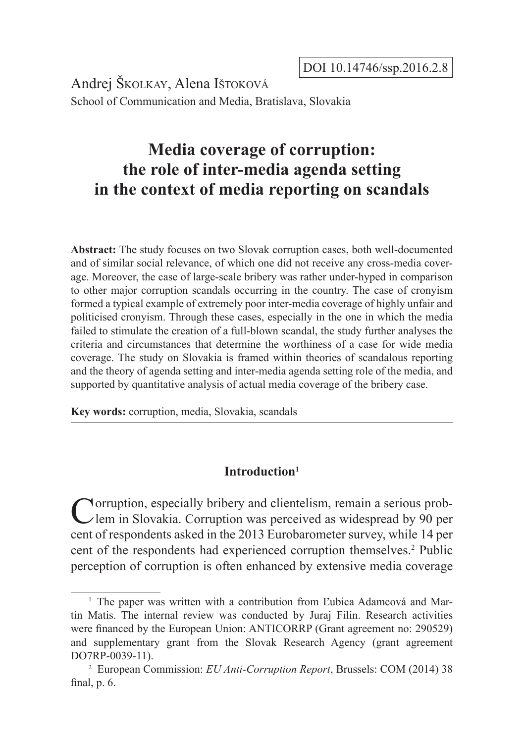Andrej Školkay, Alena Ištoková School of Communication and Media, Bratislava, Slovakia

# **Media coverage of corruption: the role of inter-media agenda setting in the context of media reporting on scandals**

**Abstract:** The study focuses on two Slovak corruption cases, both well-documented and of similar social relevance, of which one did not receive any cross-media coverage. Moreover, the case of large-scale bribery was rather under-hyped in comparison to other major corruption scandals occurring in the country. The case of cronyism formed a typical example of extremely poor inter-media coverage of highly unfair and politicised cronyism. Through these cases, especially in the one in which the media failed to stimulate the creation of a full-blown scandal, the study further analyses the criteria and circumstances that determine the worthiness of a case for wide media coverage. The study on Slovakia is framed within theories of scandalous reporting and the theory of agenda setting and inter-media agenda setting role of the media, and supported by quantitative analysis of actual media coverage of the bribery case.

**Key words:** corruption, media, Slovakia, scandals

# **Introduction1**

Corruption, especially bribery and clientelism, remain a serious prob-lem in Slovakia. Corruption was perceived as widespread by 90 per cent of respondents asked in the 2013 Eurobarometer survey, while 14 per cent of the respondents had experienced corruption themselves.2 Public perception of corruption is often enhanced by extensive media coverage

<sup>&</sup>lt;sup>1</sup> The paper was written with a contribution from L'ubica Adamcová and Martin Matis. The internal review was conducted by Juraj Filin. Research activities were financed by the European Union: ANTICORRP (Grant agreement no: 290529) and supplementary grant from the Slovak Research Agency (grant agreement DO7RP-0039-11).

<sup>2</sup> European Commission: *EU Anti-Corruption Report*, Brussels: COM (2014) 38 final, p. 6.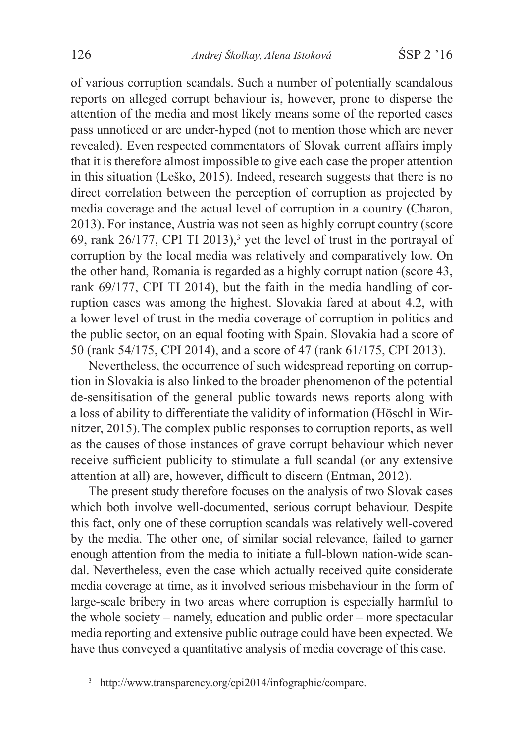of various corruption scandals. Such a number of potentially scandalous reports on alleged corrupt behaviour is, however, prone to disperse the attention of the media and most likely means some of the reported cases pass unnoticed or are under-hyped (not to mention those which are never revealed). Even respected commentators of Slovak current affairs imply that it is therefore almost impossible to give each case the proper attention in this situation (Leško, 2015). Indeed, research suggests that there is no direct correlation between the perception of corruption as projected by media coverage and the actual level of corruption in a country (Charon, 2013). For instance, Austria was not seen as highly corrupt country (score 69, rank  $26/177$ , CPI TI  $2013$ ,<sup>3</sup> yet the level of trust in the portrayal of corruption by the local media was relatively and comparatively low. On the other hand, Romania is regarded as a highly corrupt nation (score 43, rank 69/177, CPI TI 2014), but the faith in the media handling of corruption cases was among the highest. Slovakia fared at about 4.2, with a lower level of trust in the media coverage of corruption in politics and the public sector, on an equal footing with Spain. Slovakia had a score of 50 (rank 54/175, CPI 2014), and a score of 47 (rank 61/175, CPI 2013).

Nevertheless, the occurrence of such widespread reporting on corruption in Slovakia is also linked to the broader phenomenon of the potential de-sensitisation of the general public towards news reports along with a loss of ability to differentiate the validity of information (Höschl in Wirnitzer, 2015).The complex public responses to corruption reports, as well as the causes of those instances of grave corrupt behaviour which never receive sufficient publicity to stimulate a full scandal (or any extensive attention at all) are, however, difficult to discern (Entman, 2012).

The present study therefore focuses on the analysis of two Slovak cases which both involve well-documented, serious corrupt behaviour. Despite this fact, only one of these corruption scandals was relatively well-covered by the media. The other one, of similar social relevance, failed to garner enough attention from the media to initiate a full-blown nation-wide scandal. Nevertheless, even the case which actually received quite considerate media coverage at time, as it involved serious misbehaviour in the form of large-scale bribery in two areas where corruption is especially harmful to the whole society – namely, education and public order – more spectacular media reporting and extensive public outrage could have been expected. We have thus conveyed a quantitative analysis of media coverage of this case.

<sup>3</sup> http://www.transparency.org/cpi2014/infographic/compare.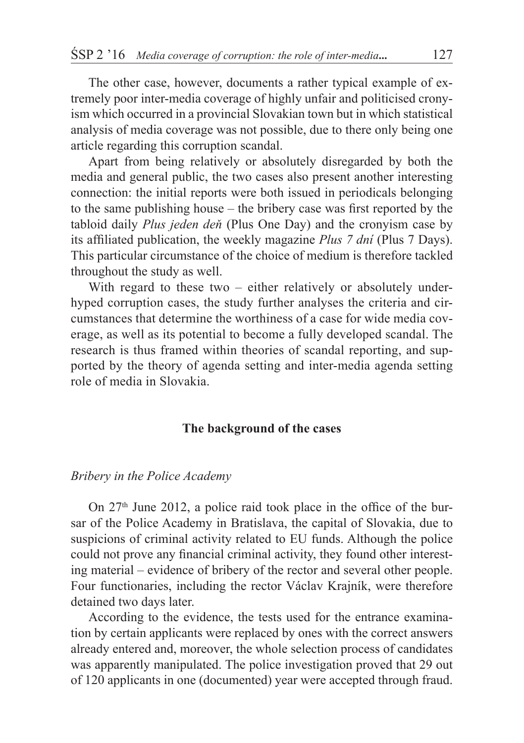The other case, however, documents a rather typical example of extremely poor inter-media coverage of highly unfair and politicised cronyism which occurred in a provincial Slovakian town but in which statistical analysis of media coverage was not possible, due to there only being one article regarding this corruption scandal.

Apart from being relatively or absolutely disregarded by both the media and general public, the two cases also present another interesting connection: the initial reports were both issued in periodicals belonging to the same publishing house – the bribery case was first reported by the tabloid daily *Plus jeden deň* (Plus One Day) and the cronyism case by its affiliated publication, the weekly magazine *Plus 7 dní* (Plus 7 Days). This particular circumstance of the choice of medium is therefore tackled throughout the study as well.

With regard to these two – either relatively or absolutely underhyped corruption cases, the study further analyses the criteria and circumstances that determine the worthiness of a case for wide media coverage, as well as its potential to become a fully developed scandal. The research is thus framed within theories of scandal reporting, and supported by the theory of agenda setting and inter-media agenda setting role of media in Slovakia.

# **The background of the cases**

### *Bribery in the Police Academy*

On 27<sup>th</sup> June 2012, a police raid took place in the office of the bursar of the Police Academy in Bratislava, the capital of Slovakia, due to suspicions of criminal activity related to EU funds. Although the police could not prove any financial criminal activity, they found other interesting material – evidence of bribery of the rector and several other people. Four functionaries, including the rector Václav Krajník, were therefore detained two days later.

According to the evidence, the tests used for the entrance examination by certain applicants were replaced by ones with the correct answers already entered and, moreover, the whole selection process of candidates was apparently manipulated. The police investigation proved that 29 out of 120 applicants in one (documented) year were accepted through fraud.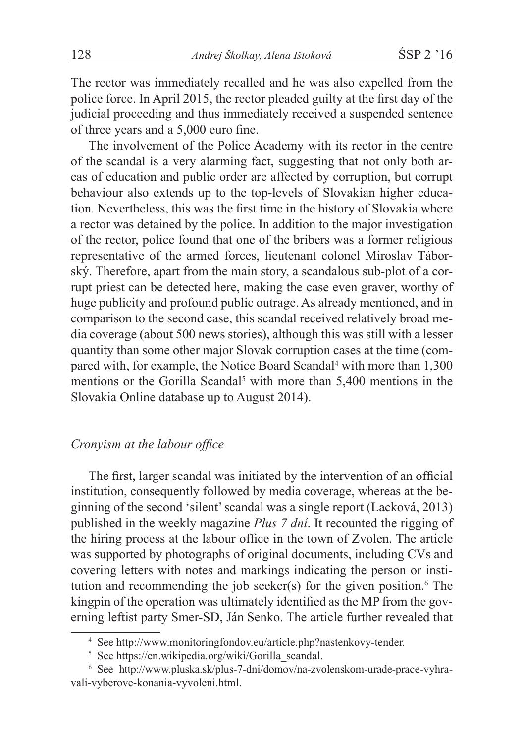The rector was immediately recalled and he was also expelled from the police force. In April 2015, the rector pleaded guilty at the first day of the judicial proceeding and thus immediately received a suspended sentence of three years and a 5,000 euro fine.

The involvement of the Police Academy with its rector in the centre of the scandal is a very alarming fact, suggesting that not only both areas of education and public order are affected by corruption, but corrupt behaviour also extends up to the top-levels of Slovakian higher education. Nevertheless, this was the first time in the history of Slovakia where a rector was detained by the police. In addition to the major investigation of the rector, police found that one of the bribers was a former religious representative of the armed forces, lieutenant colonel Miroslav Táborský. Therefore, apart from the main story, a scandalous sub-plot of a corrupt priest can be detected here, making the case even graver, worthy of huge publicity and profound public outrage. As already mentioned, and in comparison to the second case, this scandal received relatively broad media coverage (about 500 news stories), although this was still with a lesser quantity than some other major Slovak corruption cases at the time (compared with, for example, the Notice Board Scandal<sup>4</sup> with more than 1,300 mentions or the Gorilla Scandal<sup>5</sup> with more than 5,400 mentions in the Slovakia Online database up to August 2014).

# *Cronyism at the labour office*

The first, larger scandal was initiated by the intervention of an official institution, consequently followed by media coverage, whereas at the beginning of the second 'silent'scandal was a single report (Lacková, 2013) published in the weekly magazine *Plus 7 dní*. It recounted the rigging of the hiring process at the labour office in the town of Zvolen. The article was supported by photographs of original documents, including CVs and covering letters with notes and markings indicating the person or institution and recommending the job seeker(s) for the given position.<sup>6</sup> The kingpin of the operation was ultimately identified as the MP from the governing leftist party Smer-SD, Ján Senko. The article further revealed that

<sup>4</sup> See http://www.monitoringfondov.eu/article.php?nastenkovy-tender.

<sup>5</sup> See https://en.wikipedia.org/wiki/Gorilla\_scandal.

<sup>6</sup> See http://www.pluska.sk/plus-7-dni/domov/na-zvolenskom-urade-prace-vyhravali-vyberove-konania-vyvoleni.html.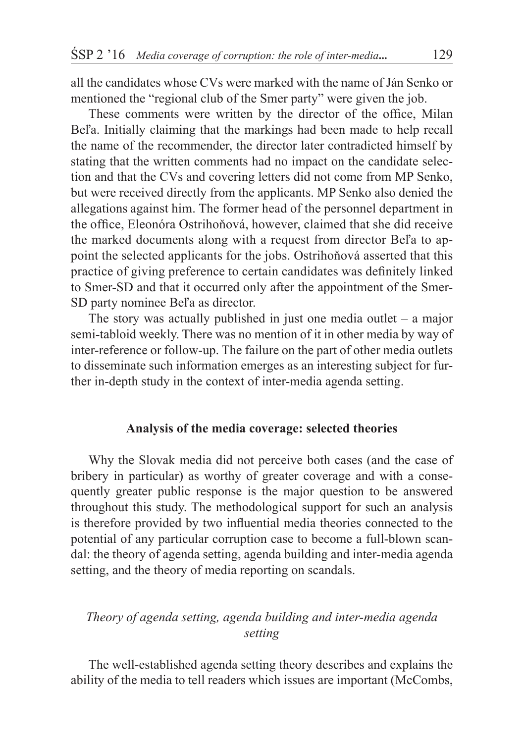all the candidates whose CVs were marked with the name of Ján Senko or mentioned the "regional club of the Smer party" were given the job.

These comments were written by the director of the office, Milan Beľa. Initially claiming that the markings had been made to help recall the name of the recommender, the director later contradicted himself by stating that the written comments had no impact on the candidate selection and that the CVs and covering letters did not come from MP Senko, but were received directly from the applicants. MP Senko also denied the allegations against him. The former head of the personnel department in the office, Eleonóra Ostrihoňová, however, claimed that she did receive the marked documents along with a request from director Beľa to appoint the selected applicants for the jobs. Ostrihoňová asserted that this practice of giving preference to certain candidates was definitely linked to Smer-SD and that it occurred only after the appointment of the Smer-SD party nominee Beľa as director.

The story was actually published in just one media outlet  $-$  a major semi-tabloid weekly. There was no mention of it in other media by way of inter-reference or follow-up. The failure on the part of other media outlets to disseminate such information emerges as an interesting subject for further in-depth study in the context of inter-media agenda setting.

# **Analysis of the media coverage: selected theories**

Why the Slovak media did not perceive both cases (and the case of bribery in particular) as worthy of greater coverage and with a consequently greater public response is the major question to be answered throughout this study. The methodological support for such an analysis is therefore provided by two influential media theories connected to the potential of any particular corruption case to become a full-blown scandal: the theory of agenda setting, agenda building and inter-media agenda setting, and the theory of media reporting on scandals.

# *Theory of agenda setting, agenda building and inter-media agenda setting*

The well-established agenda setting theory describes and explains the ability of the media to tell readers which issues are important (McCombs,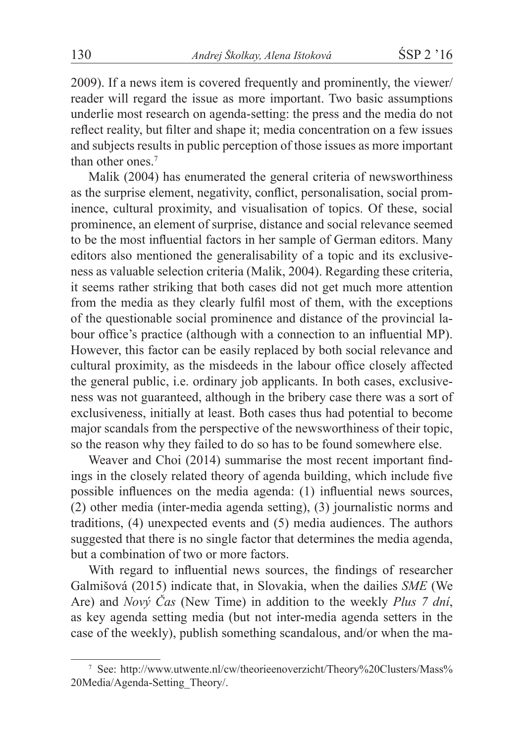2009). If a news item is covered frequently and prominently, the viewer/ reader will regard the issue as more important. Two basic assumptions underlie most research on agenda-setting: the press and the media do not reflect reality, but filter and shape it; media concentration on a few issues and subjects results in public perception of those issues as more important than other ones.<sup>7</sup>

Malik (2004) has enumerated the general criteria of newsworthiness as the surprise element, negativity, conflict, personalisation, social prominence, cultural proximity, and visualisation of topics. Of these, social prominence, an element of surprise, distance and social relevance seemed to be the most influential factors in her sample of German editors. Many editors also mentioned the generalisability of a topic and its exclusiveness as valuable selection criteria (Malik, 2004). Regarding these criteria, it seems rather striking that both cases did not get much more attention from the media as they clearly fulfil most of them, with the exceptions of the questionable social prominence and distance of the provincial labour office's practice (although with a connection to an influential MP). However, this factor can be easily replaced by both social relevance and cultural proximity, as the misdeeds in the labour office closely affected the general public, i.e. ordinary job applicants. In both cases, exclusiveness was not guaranteed, although in the bribery case there was a sort of exclusiveness, initially at least. Both cases thus had potential to become major scandals from the perspective of the newsworthiness of their topic, so the reason why they failed to do so has to be found somewhere else.

Weaver and Choi (2014) summarise the most recent important findings in the closely related theory of agenda building, which include five possible influences on the media agenda: (1) influential news sources, (2) other media (inter-media agenda setting), (3) journalistic norms and traditions, (4) unexpected events and (5) media audiences. The authors suggested that there is no single factor that determines the media agenda, but a combination of two or more factors.

With regard to influential news sources, the findings of researcher Galmišová (2015) indicate that, in Slovakia, when the dailies *SME* (We Are) and *Nový Čas* (New Time) in addition to the weekly *Plus 7 dní*, as key agenda setting media (but not inter-media agenda setters in the case of the weekly), publish something scandalous, and/or when the ma-

<sup>&</sup>lt;sup>7</sup> See: http://www.utwente.nl/cw/theorieenoverzicht/Theory%20Clusters/Mass% 20Media/Agenda-Setting\_Theory/.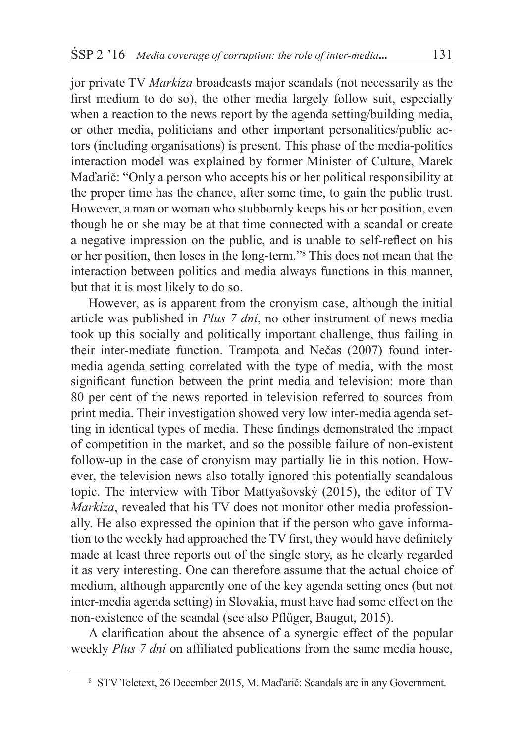jor private TV *Markíza* broadcasts major scandals (not necessarily as the first medium to do so), the other media largely follow suit, especially when a reaction to the news report by the agenda setting/building media, or other media, politicians and other important personalities/public actors (including organisations) is present. This phase of the media-politics interaction model was explained by former Minister of Culture, Marek Maďarič: "Only a person who accepts his or her political responsibility at the proper time has the chance, after some time, to gain the public trust. However, a man or woman who stubbornly keeps his or her position, even though he or she may be at that time connected with a scandal or create a negative impression on the public, and is unable to self-reflect on his or her position, then loses in the long-term."8 This does not mean that the interaction between politics and media always functions in this manner, but that it is most likely to do so.

However, as is apparent from the cronyism case, although the initial article was published in *Plus 7 dní*, no other instrument of news media took up this socially and politically important challenge, thus failing in their inter-mediate function. Trampota and Nečas (2007) found intermedia agenda setting correlated with the type of media, with the most significant function between the print media and television: more than 80 per cent of the news reported in television referred to sources from print media. Their investigation showed very low inter-media agenda setting in identical types of media. These findings demonstrated the impact of competition in the market, and so the possible failure of non-existent follow-up in the case of cronyism may partially lie in this notion. However, the television news also totally ignored this potentially scandalous topic. The interview with Tibor Mattyašovský (2015), the editor of TV *Markíza*, revealed that his TV does not monitor other media professionally. He also expressed the opinion that if the person who gave information to the weekly had approached the TV first, they would have definitely made at least three reports out of the single story, as he clearly regarded it as very interesting. One can therefore assume that the actual choice of medium, although apparently one of the key agenda setting ones (but not inter-media agenda setting) in Slovakia, must have had some effect on the non-existence of the scandal (see also Pflüger, Baugut, 2015).

A clarification about the absence of a synergic effect of the popular weekly *Plus 7 dní* on affiliated publications from the same media house,

<sup>8</sup> STV Teletext, 26 December 2015, M. Maďarič: Scandals are in any Government.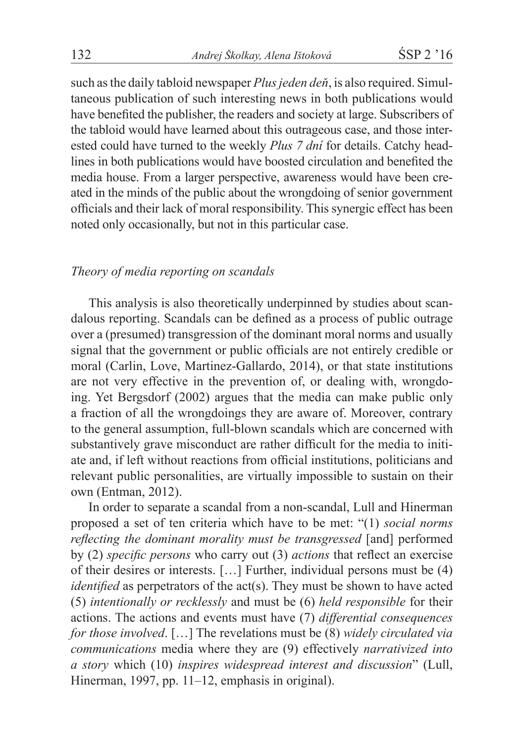such as the daily tabloid newspaper *Plus jeden deň*, is also required. Simultaneous publication of such interesting news in both publications would have benefited the publisher, the readers and society at large. Subscribers of the tabloid would have learned about this outrageous case, and those interested could have turned to the weekly *Plus 7 dní* for details. Catchy headlines in both publications would have boosted circulation and benefited the media house. From a larger perspective, awareness would have been created in the minds of the public about the wrongdoing of senior government officials and their lack of moral responsibility. This synergic effect has been noted only occasionally, but not in this particular case.

# *Theory of media reporting on scandals*

This analysis is also theoretically underpinned by studies about scandalous reporting. Scandals can be defined as a process of public outrage over a (presumed) transgression of the dominant moral norms and usually signal that the government or public officials are not entirely credible or moral (Carlin, Love, Martinez-Gallardo, 2014), or that state institutions are not very effective in the prevention of, or dealing with, wrongdoing. Yet Bergsdorf (2002) argues that the media can make public only a fraction of all the wrongdoings they are aware of. Moreover, contrary to the general assumption, full-blown scandals which are concerned with substantively grave misconduct are rather difficult for the media to initiate and, if left without reactions from official institutions, politicians and relevant public personalities, are virtually impossible to sustain on their own (Entman, 2012).

In order to separate a scandal from a non-scandal, Lull and Hinerman proposed a set of ten criteria which have to be met: "(1) *social norms reflecting the dominant morality must be transgressed* [and] performed by (2) *specific persons* who carry out (3) *actions* that reflect an exercise of their desires or interests. […] Further, individual persons must be (4) *identified* as perpetrators of the act(s). They must be shown to have acted (5) *intentionally or recklessly* and must be (6) *held responsible* for their actions. The actions and events must have (7) *differential consequences for those involved*. […] The revelations must be (8) *widely circulated via communications* media where they are (9) effectively *narrativized into a story* which (10) *inspires widespread interest and discussion*" (Lull, Hinerman, 1997, pp. 11–12, emphasis in original).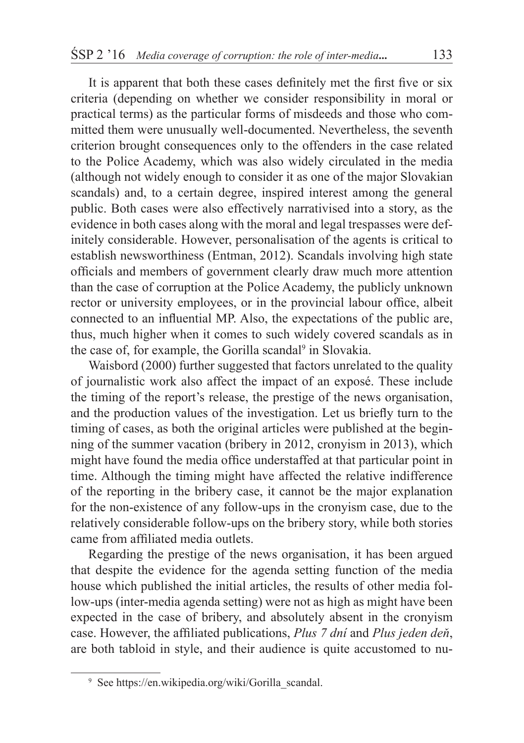It is apparent that both these cases definitely met the first five or six criteria (depending on whether we consider responsibility in moral or practical terms) as the particular forms of misdeeds and those who committed them were unusually well-documented. Nevertheless, the seventh criterion brought consequences only to the offenders in the case related to the Police Academy, which was also widely circulated in the media (although not widely enough to consider it as one of the major Slovakian scandals) and, to a certain degree, inspired interest among the general public. Both cases were also effectively narrativised into a story, as the evidence in both cases along with the moral and legal trespasses were definitely considerable. However, personalisation of the agents is critical to establish newsworthiness (Entman, 2012). Scandals involving high state officials and members of government clearly draw much more attention than the case of corruption at the Police Academy, the publicly unknown rector or university employees, or in the provincial labour office, albeit connected to an influential MP. Also, the expectations of the public are, thus, much higher when it comes to such widely covered scandals as in the case of, for example, the Gorilla scandal<sup>9</sup> in Slovakia.

Waisbord (2000) further suggested that factors unrelated to the quality of journalistic work also affect the impact of an exposé. These include the timing of the report's release, the prestige of the news organisation, and the production values of the investigation. Let us briefly turn to the timing of cases, as both the original articles were published at the beginning of the summer vacation (bribery in 2012, cronyism in 2013), which might have found the media office understaffed at that particular point in time. Although the timing might have affected the relative indifference of the reporting in the bribery case, it cannot be the major explanation for the non-existence of any follow-ups in the cronyism case, due to the relatively considerable follow-ups on the bribery story, while both stories came from affiliated media outlets.

Regarding the prestige of the news organisation, it has been argued that despite the evidence for the agenda setting function of the media house which published the initial articles, the results of other media follow-ups (inter-media agenda setting) were not as high as might have been expected in the case of bribery, and absolutely absent in the cronyism case. However, the affiliated publications, *Plus 7 dní* and *Plus jeden deň*, are both tabloid in style, and their audience is quite accustomed to nu-

<sup>9</sup> See https://en.wikipedia.org/wiki/Gorilla\_scandal.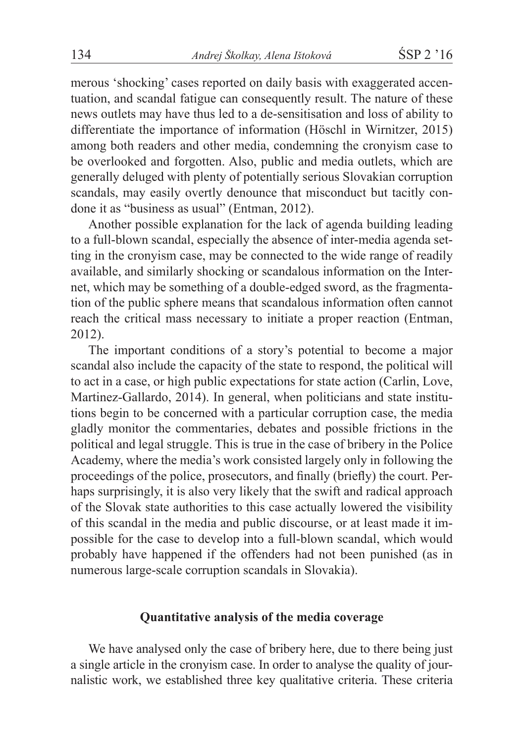merous 'shocking' cases reported on daily basis with exaggerated accentuation, and scandal fatigue can consequently result. The nature of these news outlets may have thus led to a de-sensitisation and loss of ability to differentiate the importance of information (Höschl in Wirnitzer, 2015) among both readers and other media, condemning the cronyism case to be overlooked and forgotten. Also, public and media outlets, which are generally deluged with plenty of potentially serious Slovakian corruption scandals, may easily overtly denounce that misconduct but tacitly condone it as "business as usual" (Entman, 2012).

Another possible explanation for the lack of agenda building leading to a full-blown scandal, especially the absence of inter-media agenda setting in the cronyism case, may be connected to the wide range of readily available, and similarly shocking or scandalous information on the Internet, which may be something of a double-edged sword, as the fragmentation of the public sphere means that scandalous information often cannot reach the critical mass necessary to initiate a proper reaction (Entman, 2012).

The important conditions of a story's potential to become a major scandal also include the capacity of the state to respond, the political will to act in a case, or high public expectations for state action (Carlin, Love, Martinez-Gallardo, 2014). In general, when politicians and state institutions begin to be concerned with a particular corruption case, the media gladly monitor the commentaries, debates and possible frictions in the political and legal struggle. This is true in the case of bribery in the Police Academy, where the media's work consisted largely only in following the proceedings of the police, prosecutors, and finally (briefly) the court. Perhaps surprisingly, it is also very likely that the swift and radical approach of the Slovak state authorities to this case actually lowered the visibility of this scandal in the media and public discourse, or at least made it impossible for the case to develop into a full-blown scandal, which would probably have happened if the offenders had not been punished (as in numerous large-scale corruption scandals in Slovakia).

#### **Quantitative analysis of the media coverage**

We have analysed only the case of bribery here, due to there being just a single article in the cronyism case. In order to analyse the quality of journalistic work, we established three key qualitative criteria. These criteria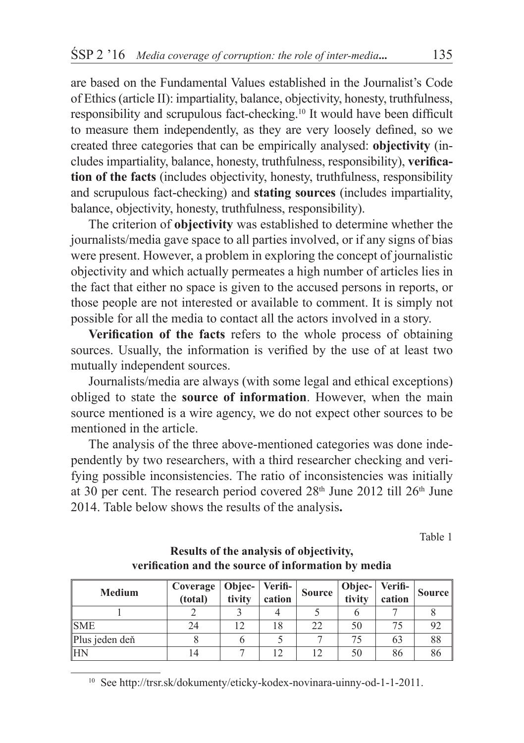are based on the Fundamental Values established in the Journalist's Code of Ethics(article II): impartiality, balance, objectivity, honesty, truthfulness, responsibility and scrupulous fact-checking.10 It would have been difficult to measure them independently, as they are very loosely defined, so we created three categories that can be empirically analysed: **objectivity** (includes impartiality, balance, honesty, truthfulness, responsibility), **verification of the facts** (includes objectivity, honesty, truthfulness, responsibility and scrupulous fact-checking) and **stating sources** (includes impartiality, balance, objectivity, honesty, truthfulness, responsibility).

The criterion of **objectivity** was established to determine whether the journalists/media gave space to all parties involved, or if any signs of bias were present. However, a problem in exploring the concept of journalistic objectivity and which actually permeates a high number of articles lies in the fact that either no space is given to the accused persons in reports, or those people are not interested or available to comment. It is simply not possible for all the media to contact all the actors involved in a story.

**Verification of the facts** refers to the whole process of obtaining sources. Usually, the information is verified by the use of at least two mutually independent sources.

Journalists/media are always (with some legal and ethical exceptions) obliged to state the **source of information**. However, when the main source mentioned is a wire agency, we do not expect other sources to be mentioned in the article.

The analysis of the three above-mentioned categories was done independently by two researchers, with a third researcher checking and verifying possible inconsistencies. The ratio of inconsistencies was initially at 30 per cent. The research period covered  $28<sup>th</sup>$  June 2012 till  $26<sup>th</sup>$  June 2014. Table below shows the results of the analysis**.**

Table 1

| <b>Medium</b>  | Coverage   Objec-   Verifi-  <br>(total) | tivity | cation | <b>Source</b> | Objec-<br>tivity | Verifi-<br>cation | Source |
|----------------|------------------------------------------|--------|--------|---------------|------------------|-------------------|--------|
|                |                                          |        |        |               |                  |                   |        |
| <b>SME</b>     | 24                                       |        | 18     | 22            | 50               |                   |        |
| Plus jeden deň |                                          |        |        |               | 75               | 63                | 88     |
| ΙHΝ            | 14                                       |        |        | 12            | 50               | 86                | 86     |

## **Results of the analysis of objectivity, verification and the source of information by media**

<sup>10</sup> See http://trsr.sk/dokumenty/eticky-kodex-novinara-uinny-od-1-1-2011.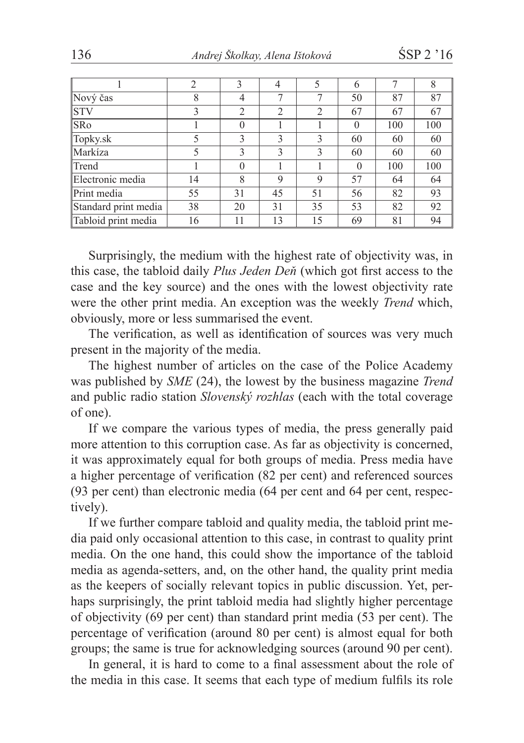|                      | $\overline{c}$ | 3              | 4  | 5              | 6        |     | 8   |
|----------------------|----------------|----------------|----|----------------|----------|-----|-----|
| Nový čas             | 8              | 4              |    |                | 50       | 87  | 87  |
| Istv                 | 3              | $\overline{c}$ | ↑  | $\overline{c}$ | 67       | 67  | 67  |
| <b>SRo</b>           |                | $\theta$       |    |                | $\theta$ | 100 | 100 |
| Topky.sk             |                | 3              | 3  | 3              | 60       | 60  | 60  |
| Markíza              |                | 3              | 3  | $\mathbf{3}$   | 60       | 60  | 60  |
| Trend                |                | $\Omega$       |    |                | $\theta$ | 100 | 100 |
| Electronic media     | 14             | 8              | 9  | $\mathbf Q$    | 57       | 64  | 64  |
| Print media          | 55             | 31             | 45 | 51             | 56       | 82  | 93  |
| Standard print media | 38             | 20             | 31 | 35             | 53       | 82  | 92  |
| Tabloid print media  | 16             | 11             | 13 | 15             | 69       | 81  | 94  |

Surprisingly, the medium with the highest rate of objectivity was, in this case, the tabloid daily *Plus Jeden Deň* (which got first access to the case and the key source) and the ones with the lowest objectivity rate were the other print media. An exception was the weekly *Trend* which, obviously, more or less summarised the event.

The verification, as well as identification of sources was very much present in the majority of the media.

The highest number of articles on the case of the Police Academy was published by *SME* (24), the lowest by the business magazine *Trend* and public radio station *Slovenský rozhlas* (each with the total coverage of one).

If we compare the various types of media, the press generally paid more attention to this corruption case. As far as objectivity is concerned, it was approximately equal for both groups of media. Press media have a higher percentage of verification (82 per cent) and referenced sources (93 per cent) than electronic media (64 per cent and 64 per cent, respectively).

If we further compare tabloid and quality media, the tabloid print media paid only occasional attention to this case, in contrast to quality print media. On the one hand, this could show the importance of the tabloid media as agenda-setters, and, on the other hand, the quality print media as the keepers of socially relevant topics in public discussion. Yet, perhaps surprisingly, the print tabloid media had slightly higher percentage of objectivity (69 per cent) than standard print media (53 per cent). The percentage of verification (around 80 per cent) is almost equal for both groups; the same is true for acknowledging sources (around 90 per cent).

In general, it is hard to come to a final assessment about the role of the media in this case. It seems that each type of medium fulfils its role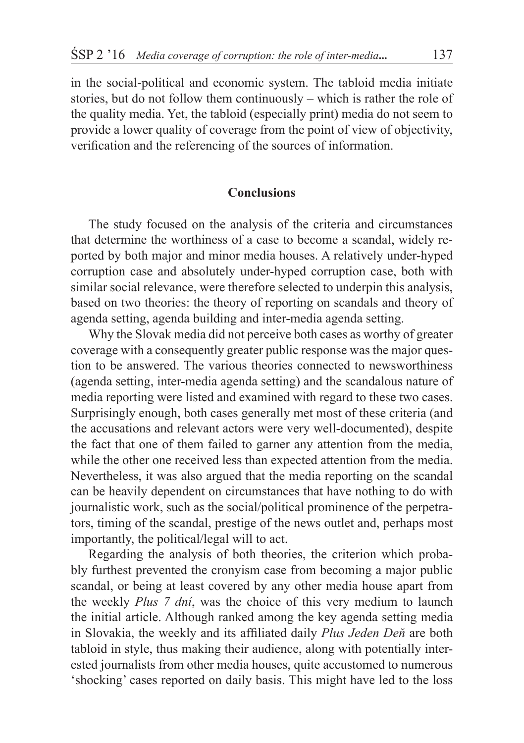in the social-political and economic system. The tabloid media initiate stories, but do not follow them continuously – which is rather the role of the quality media. Yet, the tabloid (especially print) media do not seem to provide a lower quality of coverage from the point of view of objectivity, verification and the referencing of the sources of information.

## **Conclusions**

The study focused on the analysis of the criteria and circumstances that determine the worthiness of a case to become a scandal, widely reported by both major and minor media houses. A relatively under-hyped corruption case and absolutely under-hyped corruption case, both with similar social relevance, were therefore selected to underpin this analysis, based on two theories: the theory of reporting on scandals and theory of agenda setting, agenda building and inter-media agenda setting.

Why the Slovak media did not perceive both cases as worthy of greater coverage with a consequently greater public response was the major question to be answered. The various theories connected to newsworthiness (agenda setting, inter-media agenda setting) and the scandalous nature of media reporting were listed and examined with regard to these two cases. Surprisingly enough, both cases generally met most of these criteria (and the accusations and relevant actors were very well-documented), despite the fact that one of them failed to garner any attention from the media, while the other one received less than expected attention from the media. Nevertheless, it was also argued that the media reporting on the scandal can be heavily dependent on circumstances that have nothing to do with journalistic work, such as the social/political prominence of the perpetrators, timing of the scandal, prestige of the news outlet and, perhaps most importantly, the political/legal will to act.

Regarding the analysis of both theories, the criterion which probably furthest prevented the cronyism case from becoming a major public scandal, or being at least covered by any other media house apart from the weekly *Plus 7 dní*, was the choice of this very medium to launch the initial article. Although ranked among the key agenda setting media in Slovakia, the weekly and its affiliated daily *Plus Jeden Deň* are both tabloid in style, thus making their audience, along with potentially interested journalists from other media houses, quite accustomed to numerous 'shocking' cases reported on daily basis. This might have led to the loss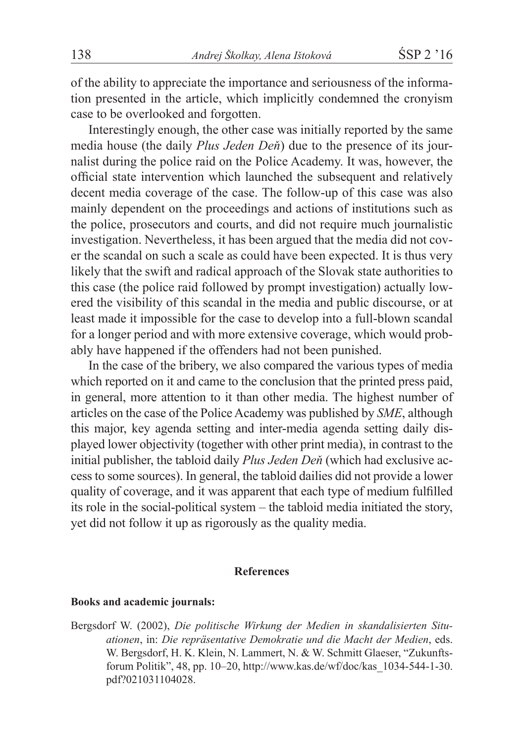of the ability to appreciate the importance and seriousness of the information presented in the article, which implicitly condemned the cronyism case to be overlooked and forgotten.

Interestingly enough, the other case was initially reported by the same media house (the daily *Plus Jeden Deň*) due to the presence of its journalist during the police raid on the Police Academy. It was, however, the official state intervention which launched the subsequent and relatively decent media coverage of the case. The follow-up of this case was also mainly dependent on the proceedings and actions of institutions such as the police, prosecutors and courts, and did not require much journalistic investigation. Nevertheless, it has been argued that the media did not cover the scandal on such a scale as could have been expected. It is thus very likely that the swift and radical approach of the Slovak state authorities to this case (the police raid followed by prompt investigation) actually lowered the visibility of this scandal in the media and public discourse, or at least made it impossible for the case to develop into a full-blown scandal for a longer period and with more extensive coverage, which would probably have happened if the offenders had not been punished.

In the case of the bribery, we also compared the various types of media which reported on it and came to the conclusion that the printed press paid, in general, more attention to it than other media. The highest number of articles on the case of the Police Academy was published by *SME*, although this major, key agenda setting and inter-media agenda setting daily displayed lower objectivity (together with other print media), in contrast to the initial publisher, the tabloid daily *Plus Jeden Deň* (which had exclusive access to some sources). In general, the tabloid dailies did not provide a lower quality of coverage, and it was apparent that each type of medium fulfilled its role in the social-political system – the tabloid media initiated the story, yet did not follow it up as rigorously as the quality media.

#### **References**

#### **Books and academic journals:**

Bergsdorf W. (2002), *Die politische Wirkung der Medien in skandalisierten Situationen*, in: *Die repräsentative Demokratie und die Macht der Medien*, eds. W. Bergsdorf, H. K. Klein, N. Lammert, N. & W. Schmitt Glaeser, "Zukunftsforum Politik", 48, pp. 10–20, http://www.kas.de/wf/doc/kas\_1034-544-1-30. pdf?021031104028.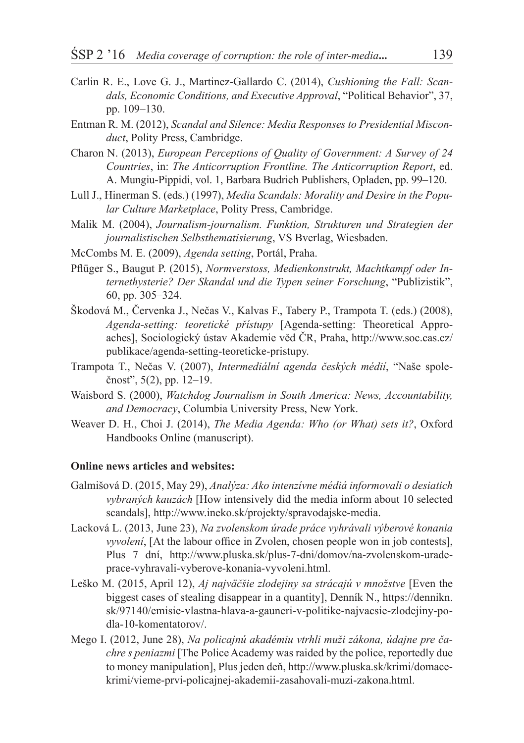- Carlin R. E., Love G. J., Martinez-Gallardo C. (2014), *Cushioning the Fall: Scandals, Economic Conditions, and Executive Approval*, "Political Behavior", 37, pp. 109–130.
- Entman R. M. (2012), *Scandal and Silence: Media Responses to Presidential Misconduct*, Polity Press, Cambridge.
- Charon N. (2013), *European Perceptions of Quality of Government: A Survey of 24 Countries*, in: *The Anticorruption Frontline. The Anticorruption Report*, ed. A. Mungiu-Pippidi, vol. 1, Barbara Budrich Publishers, Opladen, pp. 99–120.
- Lull J., Hinerman S. (eds.) (1997), *Media Scandals: Morality and Desire in the Popular Culture Marketplace*, Polity Press, Cambridge.
- Malik M. (2004), *Journalism-journalism. Funktion, Strukturen und Strategien der journalistischen Selbsthematisierung*, VS Bverlag, Wiesbaden.
- McCombs M. E. (2009), *Agenda setting*, Portál, Praha.
- Pflüger S., Baugut P. (2015), *Normverstoss, Medienkonstrukt, Machtkampf oder Internethysterie? Der Skandal und die Typen seiner Forschung*, "Publizistik", 60, pp. 305–324.
- Škodová M., Červenka J., Nečas V., Kalvas F., Tabery P., Trampota T. (eds.) (2008), *Agenda-setting: teoretické přístupy* [Agenda-setting: Theoretical Approaches], Sociologický ústav Akademie věd ČR, Praha, http://www.soc.cas.cz/ publikace/agenda-setting-teoreticke-pristupy.
- Trampota T., Nečas V. (2007), *Intermediální agenda českých médií*, "Naše společnost", 5(2), pp. 12–19.
- Waisbord S. (2000), *Watchdog Journalism in South America: News, Accountability, and Democracy*, Columbia University Press, New York.
- Weaver D. H., Choi J. (2014), *The Media Agenda: Who (or What) sets it?*, Oxford Handbooks Online (manuscript).

#### **Online news articles and websites:**

- Galmišová D. (2015, May 29), *Analýza: Ako intenzívne médiá informovali o desiatich vybraných kauzách* [How intensively did the media inform about 10 selected scandals], http://www.ineko.sk/projekty/spravodajske-media.
- Lacková L. (2013, June 23), *Na zvolenskom úrade práce vyhrávali výberové konania vyvolení*, [At the labour office in Zvolen, chosen people won in job contests], Plus 7 dní, http://www.pluska.sk/plus-7-dni/domov/na-zvolenskom-uradeprace-vyhravali-vyberove-konania-vyvoleni.html.
- Leško M. (2015, April 12), *Aj najväčšie zlodejiny sa strácajú v množstve* [Even the biggest cases of stealing disappear in a quantity], Denník N., https://dennikn. sk/97140/emisie-vlastna-hlava-a-gauneri-v-politike-najvacsie-zlodejiny-podla-10-komentatorov/.
- Mego I. (2012, June 28), *Na policajnú akadémiu vtrhli muži zákona, údajne pre čachre s peniazmi* [The Police Academy was raided by the police, reportedly due to money manipulation], Plus jeden deň, http://www.pluska.sk/krimi/domacekrimi/vieme-prvi-policajnej-akademii-zasahovali-muzi-zakona.html.